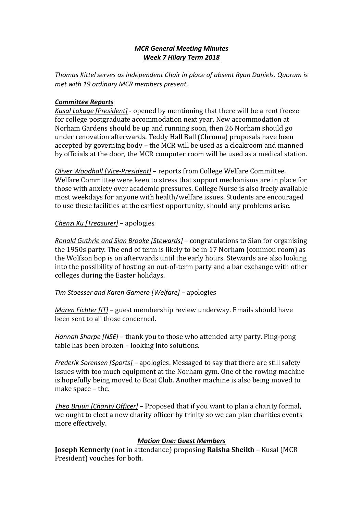## *MCR General Meeting Minutes Week 7 Hilary Term 2018*

*Thomas Kittel serves as Independent Chair in place of absent Ryan Daniels. Quorum is met with 19 ordinary MCR members present.*

## *Committee Reports*

*Kusal Lokuge [President]* - opened by mentioning that there will be a rent freeze for college postgraduate accommodation next year. New accommodation at Norham Gardens should be up and running soon, then 26 Norham should go under renovation afterwards. Teddy Hall Ball (Chroma) proposals have been accepted by governing body – the MCR will be used as a cloakroom and manned by officials at the door, the MCR computer room will be used as a medical station.

*Oliver Woodhall [Vice-President]* – reports from College Welfare Committee. Welfare Committee were keen to stress that support mechanisms are in place for those with anxiety over academic pressures. College Nurse is also freely available most weekdays for anyone with health/welfare issues. Students are encouraged to use these facilities at the earliest opportunity, should any problems arise.

# *Chenzi Xu [Treasurer]* – apologies

*Ronald Guthrie and Sian Brooke [Stewards]* – congratulations to Sian for organising the 1950s party. The end of term is likely to be in 17 Norham (common room) as the Wolfson bop is on afterwards until the early hours. Stewards are also looking into the possibility of hosting an out-of-term party and a bar exchange with other colleges during the Easter holidays.

# *Tim Stoesser and Karen Gamero [Welfare]* – apologies

*Maren Fichter [IT]* – guest membership review underway. Emails should have been sent to all those concerned.

*Hannah Sharpe [NSE]* – thank you to those who attended arty party. Ping-pong table has been broken – looking into solutions.

*Frederik Sorensen [Sports]* – apologies. Messaged to say that there are still safety issues with too much equipment at the Norham gym. One of the rowing machine is hopefully being moved to Boat Club. Another machine is also being moved to make space – tbc.

*Theo Bruun [Charity Officer]* – Proposed that if you want to plan a charity formal, we ought to elect a new charity officer by trinity so we can plan charities events more effectively.

# *Motion One: Guest Members*

**Joseph Kennerly** (not in attendance) proposing **Raisha Sheikh** – Kusal (MCR President) vouches for both.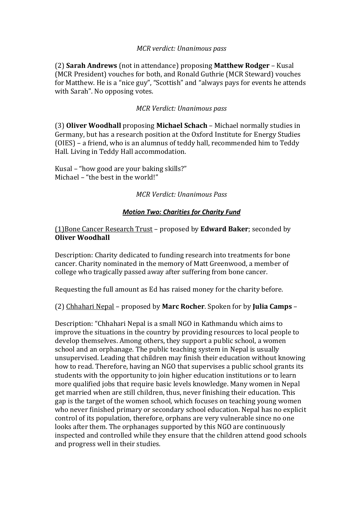## *MCR verdict: Unanimous pass*

(2) **Sarah Andrews** (not in attendance) proposing **Matthew Rodger** – Kusal (MCR President) vouches for both, and Ronald Guthrie (MCR Steward) vouches for Matthew. He is a "nice guy", "Scottish" and "always pays for events he attends with Sarah". No opposing votes.

### *MCR Verdict: Unanimous pass*

(3) **Oliver Woodhall** proposing **Michael Schach** – Michael normally studies in Germany, but has a research position at the Oxford Institute for Energy Studies (OIES) – a friend, who is an alumnus of teddy hall, recommended him to Teddy Hall. Living in Teddy Hall accommodation.

Kusal – "how good are your baking skills?" Michael – "the best in the world!"

#### *MCR Verdict: Unanimous Pass*

#### *Motion Two: Charities for Charity Fund*

### (1)Bone Cancer Research Trust – proposed by **Edward Baker**; seconded by **Oliver Woodhall**

Description: Charity dedicated to funding research into treatments for bone cancer. Charity nominated in the memory of Matt Greenwood, a member of college who tragically passed away after suffering from bone cancer.

Requesting the full amount as Ed has raised money for the charity before.

(2) Chhahari Nepal – proposed by **Marc Rocher**. Spoken for by **Julia Camps** –

Description: "Chhahari Nepal is a small NGO in Kathmandu which aims to improve the situations in the country by providing resources to local people to develop themselves. Among others, they support a public school, a women school and an orphanage. The public teaching system in Nepal is usually unsupervised. Leading that children may finish their education without knowing how to read. Therefore, having an NGO that supervises a public school grants its students with the opportunity to join higher education institutions or to learn more qualified jobs that require basic levels knowledge. Many women in Nepal get married when are still children, thus, never finishing their education. This gap is the target of the women school, which focuses on teaching young women who never finished primary or secondary school education. Nepal has no explicit control of its population, therefore, orphans are very vulnerable since no one looks after them. The orphanages supported by this NGO are continuously inspected and controlled while they ensure that the children attend good schools and progress well in their studies.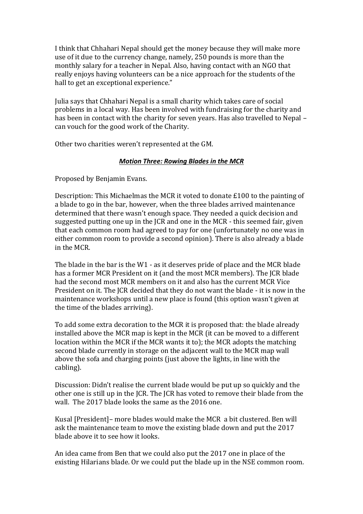I think that Chhahari Nepal should get the money because they will make more use of it due to the currency change, namely, 250 pounds is more than the monthly salary for a teacher in Nepal. Also, having contact with an NGO that really enjoys having volunteers can be a nice approach for the students of the hall to get an exceptional experience."

Julia says that Chhahari Nepal is a small charity which takes care of social problems in a local way. Has been involved with fundraising for the charity and has been in contact with the charity for seven years. Has also travelled to Nepal – can vouch for the good work of the Charity.

Other two charities weren't represented at the GM.

### *Motion Three: Rowing Blades in the MCR*

Proposed by Benjamin Evans.

Description: This Michaelmas the MCR it voted to donate £100 to the painting of a blade to go in the bar, however, when the three blades arrived maintenance determined that there wasn't enough space. They needed a quick decision and suggested putting one up in the JCR and one in the MCR - this seemed fair, given that each common room had agreed to pay for one (unfortunately no one was in either common room to provide a second opinion). There is also already a blade in the MCR.

The blade in the bar is the W1 - as it deserves pride of place and the MCR blade has a former MCR President on it (and the most MCR members). The JCR blade had the second most MCR members on it and also has the current MCR Vice President on it. The JCR decided that they do not want the blade - it is now in the maintenance workshops until a new place is found (this option wasn't given at the time of the blades arriving).

To add some extra decoration to the MCR it is proposed that: the blade already installed above the MCR map is kept in the MCR (it can be moved to a different location within the MCR if the MCR wants it to); the MCR adopts the matching second blade currently in storage on the adjacent wall to the MCR map wall above the sofa and charging points (just above the lights, in line with the cabling).

Discussion: Didn't realise the current blade would be put up so quickly and the other one is still up in the JCR. The JCR has voted to remove their blade from the wall. The 2017 blade looks the same as the 2016 one.

Kusal [President]– more blades would make the MCR a bit clustered. Ben will ask the maintenance team to move the existing blade down and put the 2017 blade above it to see how it looks.

An idea came from Ben that we could also put the 2017 one in place of the existing Hilarians blade. Or we could put the blade up in the NSE common room.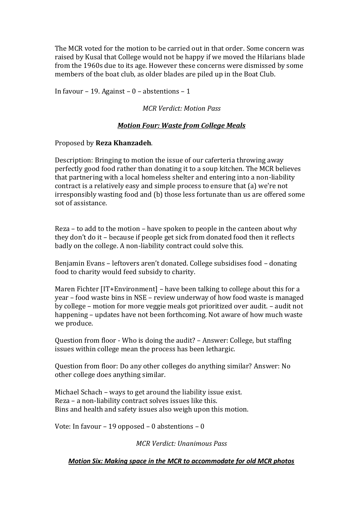The MCR voted for the motion to be carried out in that order. Some concern was raised by Kusal that College would not be happy if we moved the Hilarians blade from the 1960s due to its age. However these concerns were dismissed by some members of the boat club, as older blades are piled up in the Boat Club.

In favour – 19. Against –  $0$  – abstentions – 1

## *MCR Verdict: Motion Pass*

## *Motion Four: Waste from College Meals*

### Proposed by **Reza Khanzadeh**.

Description: Bringing to motion the issue of our caferteria throwing away perfectly good food rather than donating it to a soup kitchen. The MCR believes that partnering with a local homeless shelter and entering into a non-liability contract is a relatively easy and simple process to ensure that (a) we're not irresponsibly wasting food and (b) those less fortunate than us are offered some sot of assistance.

Reza – to add to the motion – have spoken to people in the canteen about why they don't do it – because if people get sick from donated food then it reflects badly on the college. A non-liability contract could solve this.

Benjamin Evans – leftovers aren't donated. College subsidises food – donating food to charity would feed subsidy to charity.

Maren Fichter [IT+Environment] – have been talking to college about this for a year – food waste bins in NSE – review underway of how food waste is managed by college – motion for more veggie meals got prioritized over audit. – audit not happening – updates have not been forthcoming. Not aware of how much waste we produce.

Question from floor - Who is doing the audit? – Answer: College, but staffing issues within college mean the process has been lethargic.

Question from floor: Do any other colleges do anything similar? Answer: No other college does anything similar.

Michael Schach – ways to get around the liability issue exist. Reza – a non-liability contract solves issues like this. Bins and health and safety issues also weigh upon this motion.

Vote: In favour – 19 opposed – 0 abstentions – 0

*MCR Verdict: Unanimous Pass*

#### *Motion Six: Making space in the MCR to accommodate for old MCR photos*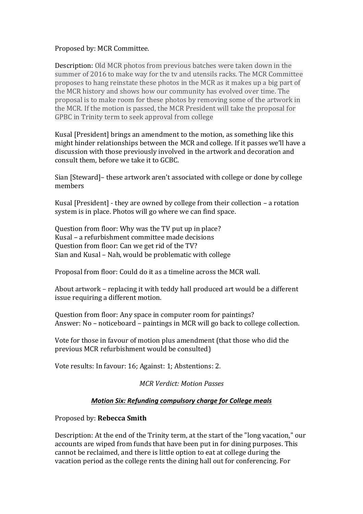## Proposed by: MCR Committee.

Description: Old MCR photos from previous batches were taken down in the summer of 2016 to make way for the tv and utensils racks. The MCR Committee proposes to hang reinstate these photos in the MCR as it makes up a big part of the MCR history and shows how our community has evolved over time. The proposal is to make room for these photos by removing some of the artwork in the MCR. If the motion is passed, the MCR President will take the proposal for GPBC in Trinity term to seek approval from college

Kusal [President] brings an amendment to the motion, as something like this might hinder relationships between the MCR and college. If it passes we'll have a discussion with those previously involved in the artwork and decoration and consult them, before we take it to GCBC.

Sian [Steward]– these artwork aren't associated with college or done by college members

Kusal [President] - they are owned by college from their collection – a rotation system is in place. Photos will go where we can find space.

Question from floor: Why was the TV put up in place? Kusal – a refurbishment committee made decisions Question from floor: Can we get rid of the TV? Sian and Kusal – Nah, would be problematic with college

Proposal from floor: Could do it as a timeline across the MCR wall.

About artwork – replacing it with teddy hall produced art would be a different issue requiring a different motion.

Question from floor: Any space in computer room for paintings? Answer: No – noticeboard – paintings in MCR will go back to college collection.

Vote for those in favour of motion plus amendment (that those who did the previous MCR refurbishment would be consulted)

Vote results: In favour: 16; Against: 1; Abstentions: 2.

*MCR Verdict: Motion Passes*

## *Motion Six: Refunding compulsory charge for College meals*

## Proposed by: **Rebecca Smith**

Description: At the end of the Trinity term, at the start of the "long vacation," our accounts are wiped from funds that have been put in for dining purposes. This cannot be reclaimed, and there is little option to eat at college during the vacation period as the college rents the dining hall out for conferencing. For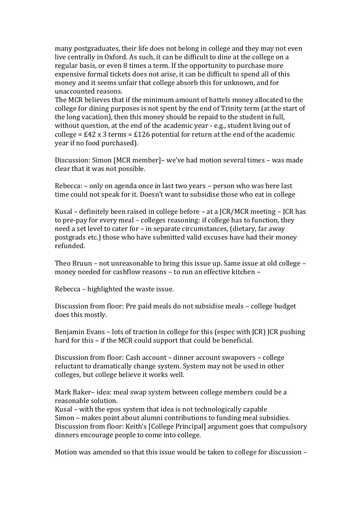many postgraduates, their life does not belong in college and they may not even live centrally in Oxford. As such, it can be difficult to dine at the college on a regular basis, or even 8 times a term. If the opportunity to purchase more expensive formal tickets does not arise, it can be difficult to spend all of this money and it seems unfair that college absorb this for unknown, and for unaccounted reasons.

The MCR believes that if the minimum amount of battels money allocated to the college for dining purposes is not spent by the end of Trinity term (at the start of the long vacation), then this money should be repaid to the student in full, without question, at the end of the academic year - e.g., student living out of college =  $\text{\pounds}42 \times 3$  terms =  $\text{\pounds}126$  potential for return at the end of the academic year if no food purchased).

Discussion: Simon [MCR member]– we've had motion several times – was made clear that it was not possible.

Rebecca: – only on agenda once in last two years – person who was here last time could not speak for it. Doesn't want to subsidise those who eat in college

Kusal – definitely been raised in college before – at a JCR/MCR meeting – JCR has to pre-pay for every meal – colleges reasoning: if college has to function, they need a set level to cater for – in separate circumstances, (dietary, far away postgrads etc.) those who have submitted valid excuses have had their money refunded.

Theo Bruun – not unreasonable to bring this issue up. Same issue at old college – money needed for cashflow reasons – to run an effective kitchen –

Rebecca – highlighted the waste issue.

Discussion from floor: Pre paid meals do not subsidise meals – college budget does this mostly.

Benjamin Evans – lots of traction in college for this (espec with JCR) JCR pushing hard for this – if the MCR could support that could be beneficial.

Discussion from floor: Cash account – dinner account swapovers – college reluctant to dramatically change system. System may not be used in other colleges, but college believe it works well.

Mark Baker– idea: meal swap system between college members could be a reasonable solution.

Kusal – with the epos system that idea is not technologically capable Simon – makes point about alumni contributions to funding meal subsidies. Discussion from floor: Keith's [College Principal] argument goes that compulsory dinners encourage people to come into college.

Motion was amended so that this issue would be taken to college for discussion –